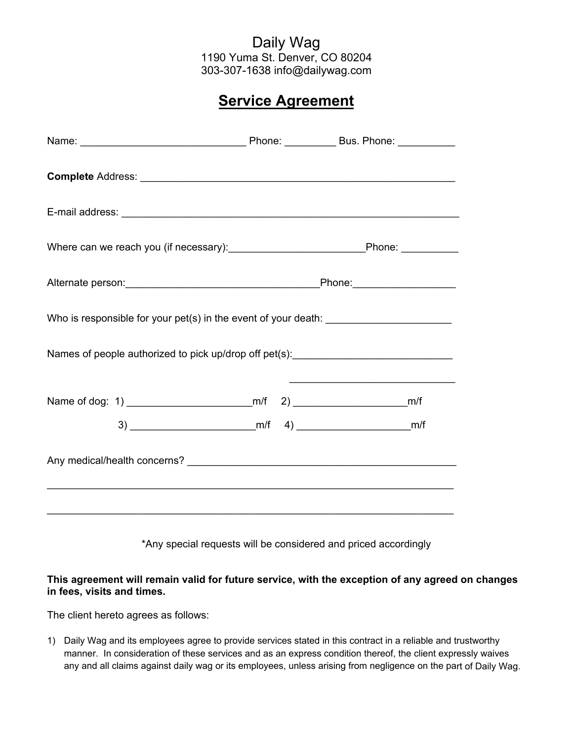## Daily Wag 1190 Yuma St. Denver, CO 80204 303-307-1638 info@dailywag.com

## **Service Agreement**

| E-mail address: <u>Design and Communications</u> and Communications and Communications and Communications and Communications and Communications and Communications and Communications and Communications and Communications and Com |  |  |  |
|-------------------------------------------------------------------------------------------------------------------------------------------------------------------------------------------------------------------------------------|--|--|--|
|                                                                                                                                                                                                                                     |  |  |  |
|                                                                                                                                                                                                                                     |  |  |  |
| Who is responsible for your pet(s) in the event of your death: __________________                                                                                                                                                   |  |  |  |
| Names of people authorized to pick up/drop off pet(s): _________________________                                                                                                                                                    |  |  |  |
|                                                                                                                                                                                                                                     |  |  |  |
|                                                                                                                                                                                                                                     |  |  |  |
|                                                                                                                                                                                                                                     |  |  |  |
| ,我们也不会有什么。""我们的人,我们也不会有什么?""我们的人,我们也不会有什么?""我们的人,我们也不会有什么?""我们的人,我们也不会有什么?""我们的人                                                                                                                                                    |  |  |  |
|                                                                                                                                                                                                                                     |  |  |  |

\*Any special requests will be considered and priced accordingly

## **This agreement will remain valid for future service, with the exception of any agreed on changes in fees, visits and times.**

The client hereto agrees as follows:

1) Daily Wag and its employees agree to provide services stated in this contract in a reliable and trustworthy manner. In consideration of these services and as an express condition thereof, the client expressly waives any and all claims against daily wag or its employees, unless arising from negligence on the part of Daily Wag.